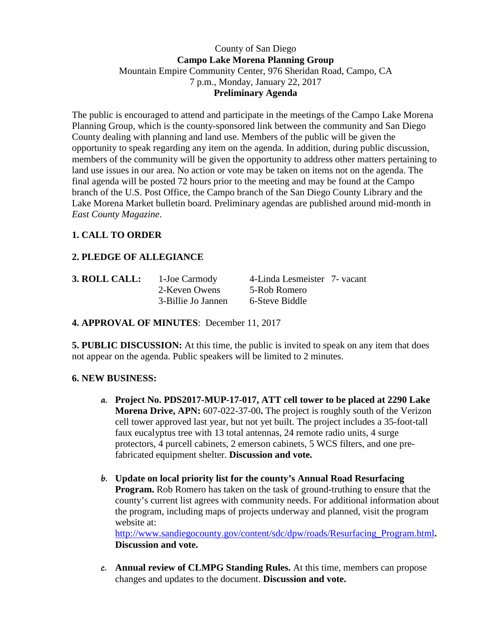## County of San Diego **Campo Lake Morena Planning Group** Mountain Empire Community Center, 976 Sheridan Road, Campo, CA 7 p.m., Monday, January 22, 2017 **Preliminary Agenda**

The public is encouraged to attend and participate in the meetings of the Campo Lake Morena Planning Group, which is the county-sponsored link between the community and San Diego County dealing with planning and land use. Members of the public will be given the opportunity to speak regarding any item on the agenda. In addition, during public discussion, members of the community will be given the opportunity to address other matters pertaining to land use issues in our area. No action or vote may be taken on items not on the agenda. The final agenda will be posted 72 hours prior to the meeting and may be found at the Campo branch of the U.S. Post Office, the Campo branch of the San Diego County Library and the Lake Morena Market bulletin board. Preliminary agendas are published around mid-month in *East County Magazine*.

# **1. CALL TO ORDER**

# **2. PLEDGE OF ALLEGIANCE**

| 3. ROLL CALL: | 1-Joe Carmody      | 4-Linda Lesmeister 7- vacant |  |
|---------------|--------------------|------------------------------|--|
|               | 2-Keven Owens      | 5-Rob Romero                 |  |
|               | 3-Billie Jo Jannen | 6-Steve Biddle               |  |

**4. APPROVAL OF MINUTES**: December 11, 2017

**5. PUBLIC DISCUSSION:** At this time, the public is invited to speak on any item that does not appear on the agenda. Public speakers will be limited to 2 minutes.

## **6. NEW BUSINESS:**

- **a. Project No. PDS2017-MUP-17-017, ATT cell tower to be placed at 2290 Lake Morena Drive, APN:** 607-022-37-00**.** The project is roughly south of the Verizon cell tower approved last year, but not yet built. The project includes a 35-foot-tall faux eucalyptus tree with 13 total antennas, 24 remote radio units, 4 surge protectors, 4 purcell cabinets, 2 emerson cabinets, 5 WCS filters, and one prefabricated equipment shelter. **Discussion and vote.**
- **b. Update on local priority list for the county's Annual Road Resurfacing Program.** Rob Romero has taken on the task of ground-truthing to ensure that the county's current list agrees with community needs. For additional information about the program, including maps of projects underway and planned, visit the program website at: [http://www.sandiegocounty.gov/content/sdc/dpw/roads/Resurfacing\\_Program.html](http://www.sandiegocounty.gov/content/sdc/dpw/roads/Resurfacing_Program.html)**.**

**Discussion and vote.**

**c. Annual review of CLMPG Standing Rules.** At this time, members can propose changes and updates to the document. **Discussion and vote.**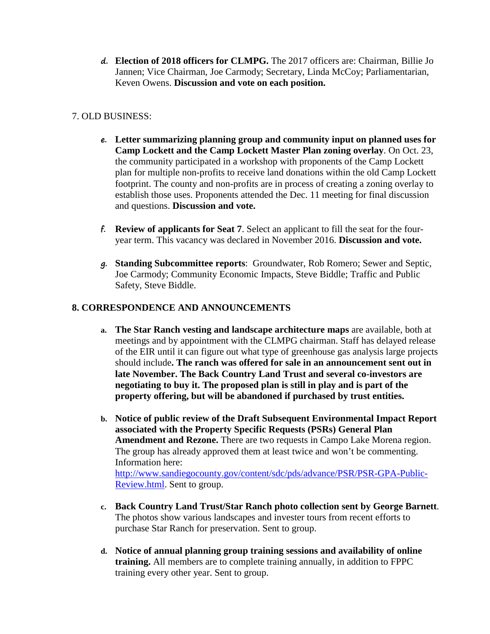**d. Election of 2018 officers for CLMPG.** The 2017 officers are: Chairman, Billie Jo Jannen; Vice Chairman, Joe Carmody; Secretary, Linda McCoy; Parliamentarian, Keven Owens. **Discussion and vote on each position.**

## 7. OLD BUSINESS:

- **e. Letter summarizing planning group and community input on planned uses for Camp Lockett and the Camp Lockett Master Plan zoning overlay**. On Oct. 23, the community participated in a workshop with proponents of the Camp Lockett plan for multiple non-profits to receive land donations within the old Camp Lockett footprint. The county and non-profits are in process of creating a zoning overlay to establish those uses. Proponents attended the Dec. 11 meeting for final discussion and questions. **Discussion and vote.**
- **f. Review of applicants for Seat 7**. Select an applicant to fill the seat for the fouryear term. This vacancy was declared in November 2016. **Discussion and vote.**
- **g. Standing Subcommittee reports**: Groundwater, Rob Romero; Sewer and Septic, Joe Carmody; Community Economic Impacts, Steve Biddle; Traffic and Public Safety, Steve Biddle.

# **8. CORRESPONDENCE AND ANNOUNCEMENTS**

- **a. The Star Ranch vesting and landscape architecture maps** are available, both at meetings and by appointment with the CLMPG chairman. Staff has delayed release of the EIR until it can figure out what type of greenhouse gas analysis large projects should include**. The ranch was offered for sale in an announcement sent out in late November. The Back Country Land Trust and several co-investors are negotiating to buy it. The proposed plan is still in play and is part of the property offering, but will be abandoned if purchased by trust entities.**
- **b. Notice of public review of the Draft Subsequent Environmental Impact Report associated with the Property Specific Requests (PSRs) General Plan Amendment and Rezone.** There are two requests in Campo Lake Morena region. The group has already approved them at least twice and won't be commenting. Information here: [http://www.sandiegocounty.gov/content/sdc/pds/advance/PSR/PSR-GPA-Public-](http://www.sandiegocounty.gov/content/sdc/pds/advance/PSR/PSR-GPA-Public-Review.html)

[Review.html.](http://www.sandiegocounty.gov/content/sdc/pds/advance/PSR/PSR-GPA-Public-Review.html) Sent to group.

- **c. Back Country Land Trust/Star Ranch photo collection sent by George Barnett**. The photos show various landscapes and invester tours from recent efforts to purchase Star Ranch for preservation. Sent to group.
- **d. Notice of annual planning group training sessions and availability of online training.** All members are to complete training annually, in addition to FPPC training every other year. Sent to group.